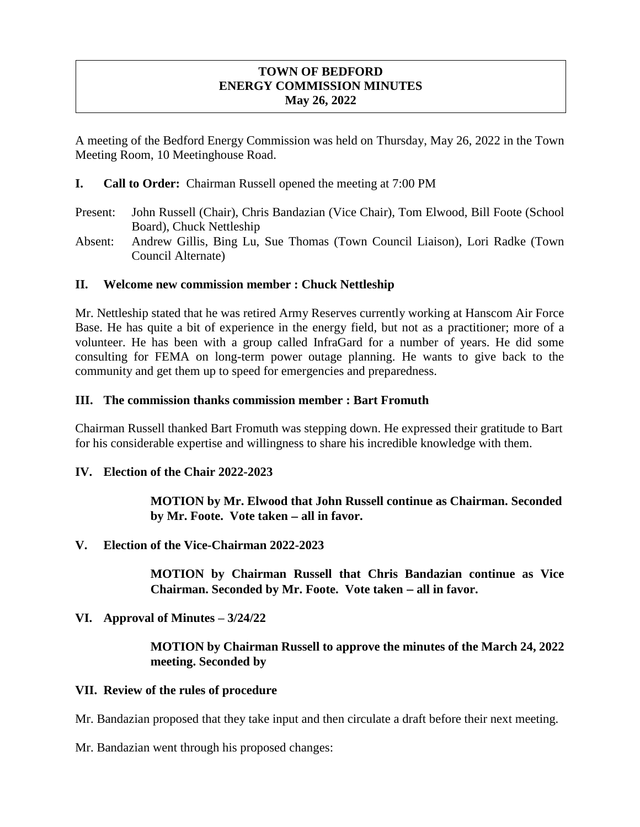#### **TOWN OF BEDFORD ENERGY COMMISSION MINUTES May 26, 2022**

A meeting of the Bedford Energy Commission was held on Thursday, May 26, 2022 in the Town Meeting Room, 10 Meetinghouse Road.

- **I. Call to Order:** Chairman Russell opened the meeting at 7:00 PM
- Present: John Russell (Chair), Chris Bandazian (Vice Chair), Tom Elwood, Bill Foote (School Board), Chuck Nettleship
- Absent: Andrew Gillis, Bing Lu, Sue Thomas (Town Council Liaison), Lori Radke (Town Council Alternate)

#### **II. Welcome new commission member : Chuck Nettleship**

Mr. Nettleship stated that he was retired Army Reserves currently working at Hanscom Air Force Base. He has quite a bit of experience in the energy field, but not as a practitioner; more of a volunteer. He has been with a group called InfraGard for a number of years. He did some consulting for FEMA on long-term power outage planning. He wants to give back to the community and get them up to speed for emergencies and preparedness.

#### **III. The commission thanks commission member : Bart Fromuth**

Chairman Russell thanked Bart Fromuth was stepping down. He expressed their gratitude to Bart for his considerable expertise and willingness to share his incredible knowledge with them.

#### **IV. Election of the Chair 2022-2023**

**MOTION by Mr. Elwood that John Russell continue as Chairman. Seconded**  by Mr. Foote. Vote taken – all in favor.

**V. Election of the Vice-Chairman 2022-2023**

**MOTION by Chairman Russell that Chris Bandazian continue as Vice Chairman. Seconded by Mr. Foote. Vote taken – all in favor.** 

#### **VI. Approval of Minutes – 3/24/22**

**MOTION by Chairman Russell to approve the minutes of the March 24, 2022 meeting. Seconded by** 

#### **VII. Review of the rules of procedure**

Mr. Bandazian proposed that they take input and then circulate a draft before their next meeting.

Mr. Bandazian went through his proposed changes: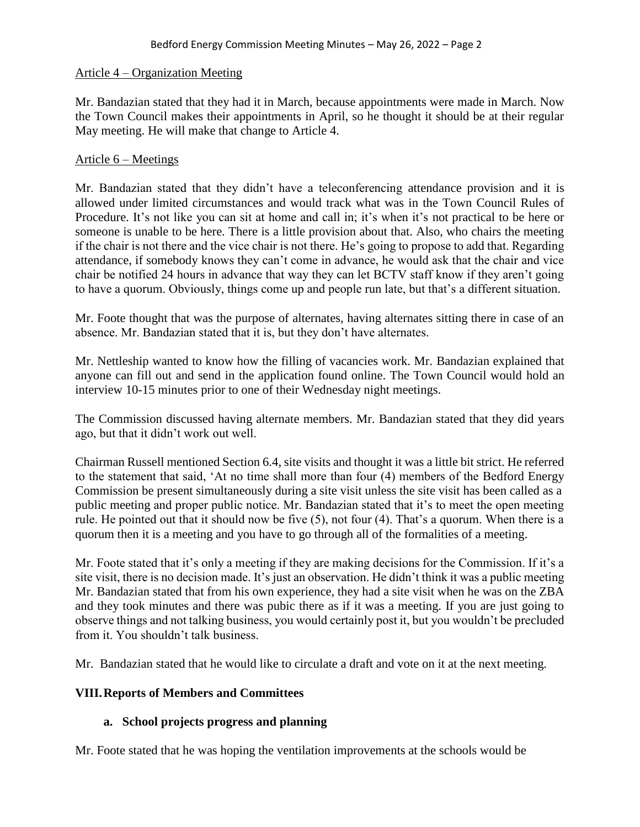#### Article 4 – Organization Meeting

Mr. Bandazian stated that they had it in March, because appointments were made in March. Now the Town Council makes their appointments in April, so he thought it should be at their regular May meeting. He will make that change to Article 4.

#### Article 6 – Meetings

Mr. Bandazian stated that they didn't have a teleconferencing attendance provision and it is allowed under limited circumstances and would track what was in the Town Council Rules of Procedure. It's not like you can sit at home and call in; it's when it's not practical to be here or someone is unable to be here. There is a little provision about that. Also, who chairs the meeting if the chair is not there and the vice chair is not there. He's going to propose to add that. Regarding attendance, if somebody knows they can't come in advance, he would ask that the chair and vice chair be notified 24 hours in advance that way they can let BCTV staff know if they aren't going to have a quorum. Obviously, things come up and people run late, but that's a different situation.

Mr. Foote thought that was the purpose of alternates, having alternates sitting there in case of an absence. Mr. Bandazian stated that it is, but they don't have alternates.

Mr. Nettleship wanted to know how the filling of vacancies work. Mr. Bandazian explained that anyone can fill out and send in the application found online. The Town Council would hold an interview 10-15 minutes prior to one of their Wednesday night meetings.

The Commission discussed having alternate members. Mr. Bandazian stated that they did years ago, but that it didn't work out well.

Chairman Russell mentioned Section 6.4, site visits and thought it was a little bit strict. He referred to the statement that said, 'At no time shall more than four (4) members of the Bedford Energy Commission be present simultaneously during a site visit unless the site visit has been called as a public meeting and proper public notice. Mr. Bandazian stated that it's to meet the open meeting rule. He pointed out that it should now be five (5), not four (4). That's a quorum. When there is a quorum then it is a meeting and you have to go through all of the formalities of a meeting.

Mr. Foote stated that it's only a meeting if they are making decisions for the Commission. If it's a site visit, there is no decision made. It's just an observation. He didn't think it was a public meeting Mr. Bandazian stated that from his own experience, they had a site visit when he was on the ZBA and they took minutes and there was pubic there as if it was a meeting. If you are just going to observe things and not talking business, you would certainly post it, but you wouldn't be precluded from it. You shouldn't talk business.

Mr. Bandazian stated that he would like to circulate a draft and vote on it at the next meeting.

## **VIII.Reports of Members and Committees**

## **a. School projects progress and planning**

Mr. Foote stated that he was hoping the ventilation improvements at the schools would be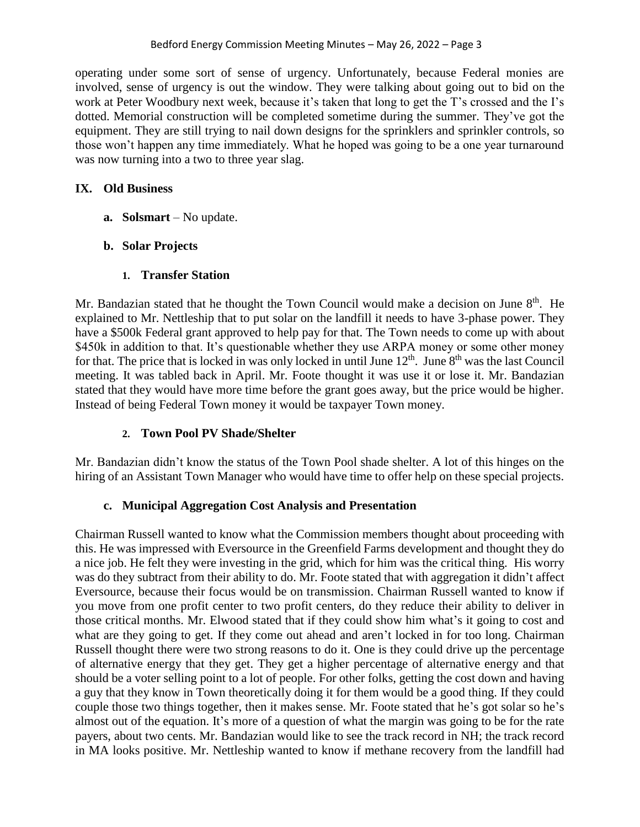operating under some sort of sense of urgency. Unfortunately, because Federal monies are involved, sense of urgency is out the window. They were talking about going out to bid on the work at Peter Woodbury next week, because it's taken that long to get the T's crossed and the I's dotted. Memorial construction will be completed sometime during the summer. They've got the equipment. They are still trying to nail down designs for the sprinklers and sprinkler controls, so those won't happen any time immediately. What he hoped was going to be a one year turnaround was now turning into a two to three year slag.

## **IX. Old Business**

**a. Solsmart** – No update.

# **b. Solar Projects**

# **1. Transfer Station**

Mr. Bandazian stated that he thought the Town Council would make a decision on June 8<sup>th</sup>. He explained to Mr. Nettleship that to put solar on the landfill it needs to have 3-phase power. They have a \$500k Federal grant approved to help pay for that. The Town needs to come up with about \$450k in addition to that. It's questionable whether they use ARPA money or some other money for that. The price that is locked in was only locked in until June 12<sup>th</sup>. June 8<sup>th</sup> was the last Council meeting. It was tabled back in April. Mr. Foote thought it was use it or lose it. Mr. Bandazian stated that they would have more time before the grant goes away, but the price would be higher. Instead of being Federal Town money it would be taxpayer Town money.

# **2. Town Pool PV Shade/Shelter**

Mr. Bandazian didn't know the status of the Town Pool shade shelter. A lot of this hinges on the hiring of an Assistant Town Manager who would have time to offer help on these special projects.

# **c. Municipal Aggregation Cost Analysis and Presentation**

Chairman Russell wanted to know what the Commission members thought about proceeding with this. He was impressed with Eversource in the Greenfield Farms development and thought they do a nice job. He felt they were investing in the grid, which for him was the critical thing. His worry was do they subtract from their ability to do. Mr. Foote stated that with aggregation it didn't affect Eversource, because their focus would be on transmission. Chairman Russell wanted to know if you move from one profit center to two profit centers, do they reduce their ability to deliver in those critical months. Mr. Elwood stated that if they could show him what's it going to cost and what are they going to get. If they come out ahead and aren't locked in for too long. Chairman Russell thought there were two strong reasons to do it. One is they could drive up the percentage of alternative energy that they get. They get a higher percentage of alternative energy and that should be a voter selling point to a lot of people. For other folks, getting the cost down and having a guy that they know in Town theoretically doing it for them would be a good thing. If they could couple those two things together, then it makes sense. Mr. Foote stated that he's got solar so he's almost out of the equation. It's more of a question of what the margin was going to be for the rate payers, about two cents. Mr. Bandazian would like to see the track record in NH; the track record in MA looks positive. Mr. Nettleship wanted to know if methane recovery from the landfill had